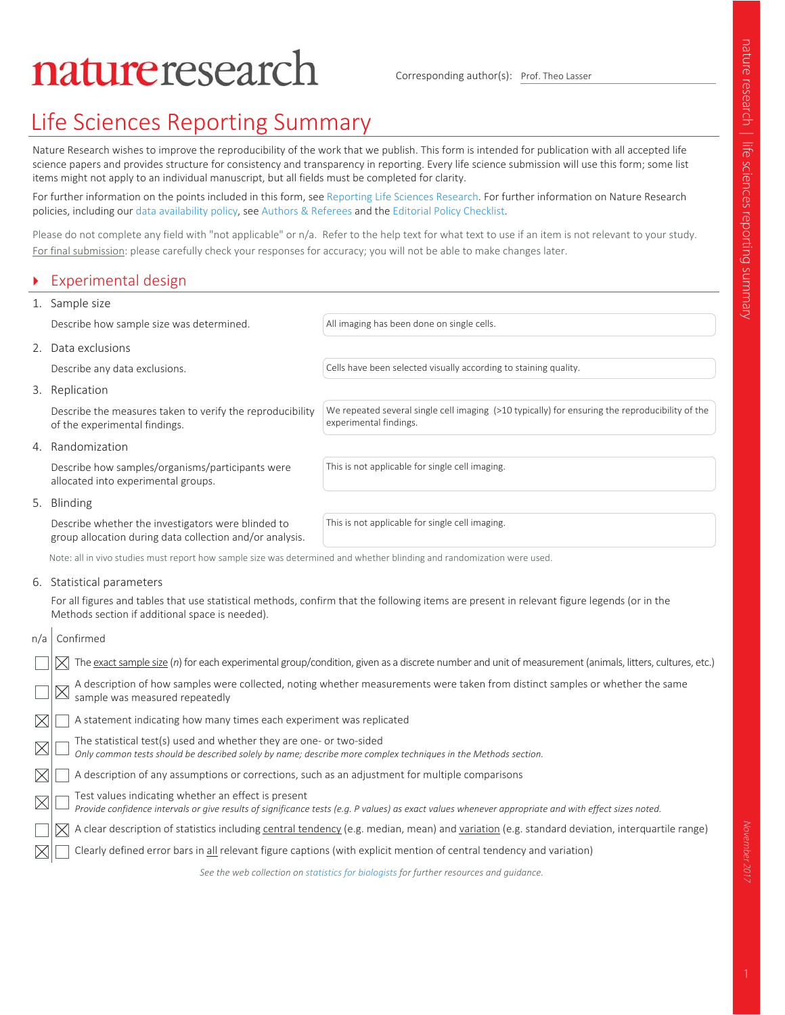# natureresearch

Corresponding author(s): Prof. Theo Lasser

# Life Sciences Reporting Summary

Nature Research wishes to improve the reproducibility of the work that we publish. This form is intended for publication with all accepted life science papers and provides structure for consistency and transparency in reporting. Every life science submission will use this form; some list items might not apply to an individual manuscript, but all fields must be completed for clarity.

For further information on the points included in this form, see Reporting Life Sciences Research. For further information on Nature Research policies, including our data availability policy, see Authors & Referees and the Editorial Policy Checklist.

Please do not complete any field with "not applicable" or n/a. Refer to the help text for what text to use if an item is not relevant to your study. For final submission: please carefully check your responses for accuracy; you will not be able to make changes later.

experimental findings.

|  | Experimental design |
|--|---------------------|
|  | 1. Sample size      |

Describe how sample size was determined. All imaging has been done on single cells.

2. Data exclusions

Describe any data exclusions. Cells have been selected visually according to staining quality.

We repeated several single cell imaging (>10 typically) for ensuring the reproducibility of the

3. Replication

Describe the measures taken to verify the reproducibility of the experimental findings.

4. Randomization

Describe how samples/organisms/participants were allocated into experimental groups.

This is not applicable for single cell imaging.

5. Blinding

Describe whether the investigators were blinded to group allocation during data collection and/or analysis.

This is not applicable for single cell imaging.

Note: all in vivo studies must report how sample size was determined and whether blinding and randomization were used.

6. Statistical parameters

For all figures and tables that use statistical methods, confirm that the following items are present in relevant figure legends (or in the Methods section if additional space is needed).

| n/a         | Confirmed                                                                                                                                                                                                   |
|-------------|-------------------------------------------------------------------------------------------------------------------------------------------------------------------------------------------------------------|
|             | The exact sample size (n) for each experimental group/condition, given as a discrete number and unit of measurement (animals, litters, cultures, etc.)                                                      |
|             | A description of how samples were collected, noting whether measurements were taken from distinct samples or whether the same<br>sample was measured repeatedly                                             |
|             | A statement indicating how many times each experiment was replicated                                                                                                                                        |
| $\boxtimes$ | The statistical test(s) used and whether they are one- or two-sided<br>Only common tests should be described solely by name; describe more complex techniques in the Methods section.                       |
|             | A description of any assumptions or corrections, such as an adjustment for multiple comparisons                                                                                                             |
|             | Test values indicating whether an effect is present<br>Provide confidence intervals or give results of significance tests (e.g. P values) as exact values whenever appropriate and with effect sizes noted. |
|             | A clear description of statistics including central tendency (e.g. median, mean) and variation (e.g. standard deviation, interquartile range)                                                               |
|             | Clearly defined error bars in all relevant figure captions (with explicit mention of central tendency and variation)                                                                                        |
|             | See the web collection on statistics for biologists for further resources and quidance.                                                                                                                     |